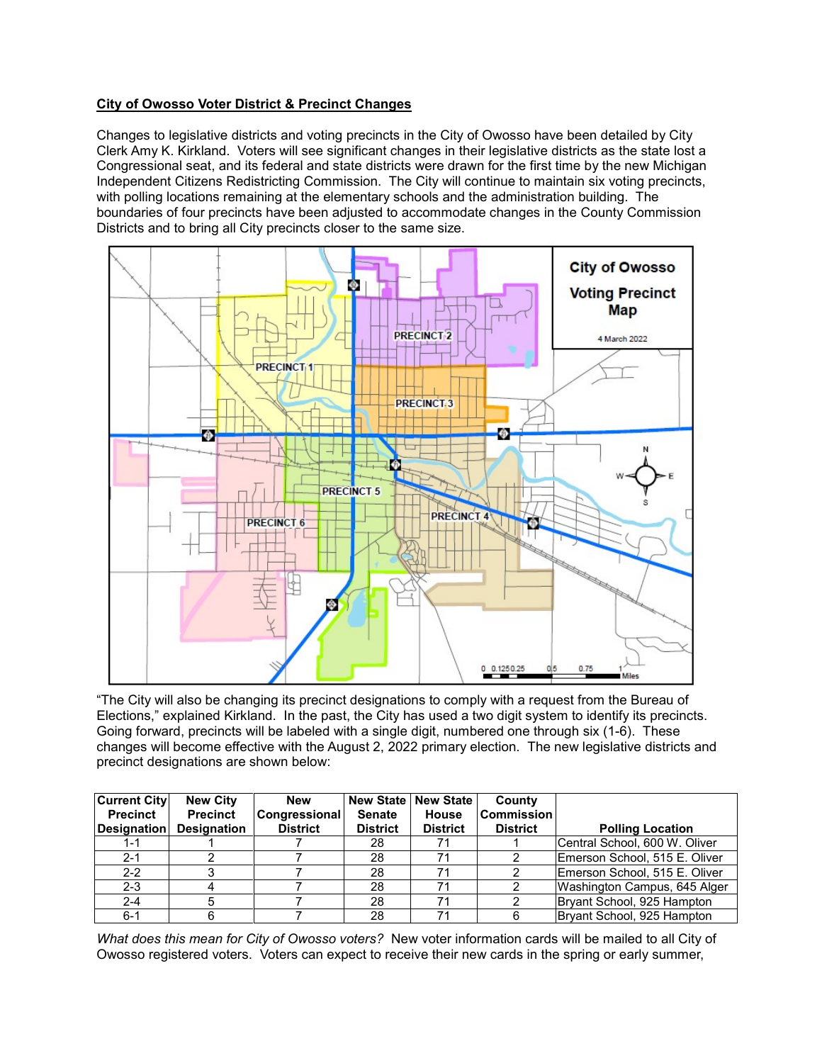## **City of Owosso Voter District & Precinct Changes**

Changes to legislative districts and voting precincts in the City of Owosso have been detailed by City Clerk Amy K. Kirkland. Voters will see significant changes in their legislative districts as the state lost a Congressional seat, and its federal and state districts were drawn for the first time by the new Michigan Independent Citizens Redistricting Commission. The City will continue to maintain six voting precincts, with polling locations remaining at the elementary schools and the administration building. The boundaries of four precincts have been adjusted to accommodate changes in the County Commission Districts and to bring all City precincts closer to the same size.



"The City will also be changing its precinct designations to comply with a request from the Bureau of Elections," explained Kirkland. In the past, the City has used a two digit system to identify its precincts. Going forward, precincts will be labeled with a single digit, numbered one through six (1-6). These changes will become effective with the August 2, 2022 primary election. The new legislative districts and precinct designations are shown below:

| <b>Current City</b> | <b>New City</b>    | <b>New</b>           |                 | New State   New State | County            |                               |
|---------------------|--------------------|----------------------|-----------------|-----------------------|-------------------|-------------------------------|
| <b>Precinct</b>     | <b>Precinct</b>    | <b>Congressional</b> | <b>Senate</b>   | <b>House</b>          | <b>Commission</b> |                               |
| <b>Designation</b>  | <b>Designation</b> | <b>District</b>      | <b>District</b> | <b>District</b>       | <b>District</b>   | <b>Polling Location</b>       |
| 1-1                 |                    |                      | 28              | 71                    |                   | Central School, 600 W. Oliver |
| $2 - 1$             |                    |                      | 28              | 71                    |                   | Emerson School, 515 E. Oliver |
| $2 - 2$             |                    |                      | 28              | 71                    |                   | Emerson School, 515 E. Oliver |
| $2 - 3$             |                    |                      | 28              | 71                    |                   | Washington Campus, 645 Alger  |
| $2 - 4$             |                    |                      | 28              | 71                    |                   | Bryant School, 925 Hampton    |
| $6 - 1$             |                    |                      | 28              | 71                    |                   | Bryant School, 925 Hampton    |

*What does this mean for City of Owosso voters?* New voter information cards will be mailed to all City of Owosso registered voters. Voters can expect to receive their new cards in the spring or early summer,